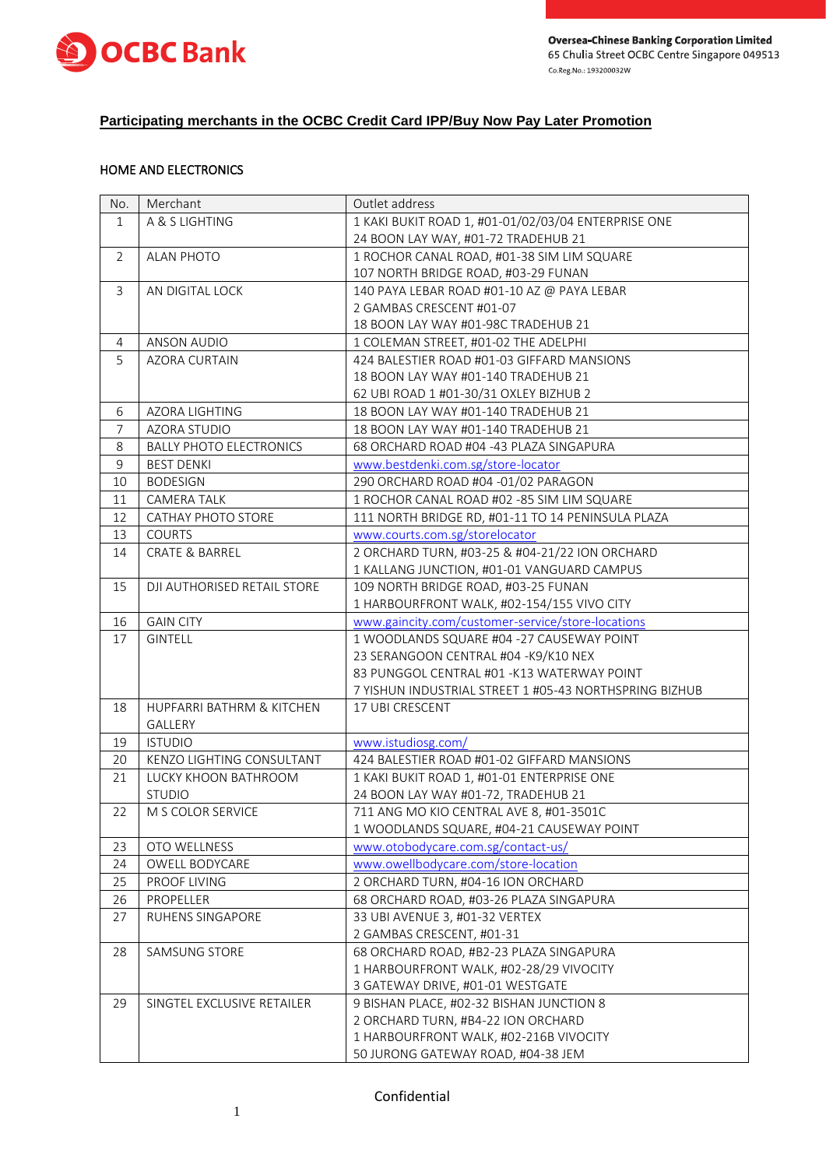



# **Participating merchants in the OCBC Credit Card IPP/Buy Now Pay Later Promotion**

# HOME AND ELECTRONICS

| No.            | Merchant                       | Outlet address                                         |
|----------------|--------------------------------|--------------------------------------------------------|
| $\mathbf{1}$   | A & S LIGHTING                 | 1 KAKI BUKIT ROAD 1, #01-01/02/03/04 ENTERPRISE ONE    |
|                |                                | 24 BOON LAY WAY, #01-72 TRADEHUB 21                    |
| $\overline{2}$ | <b>ALAN PHOTO</b>              | 1 ROCHOR CANAL ROAD, #01-38 SIM LIM SQUARE             |
|                |                                | 107 NORTH BRIDGE ROAD, #03-29 FUNAN                    |
| 3              | AN DIGITAL LOCK                | 140 PAYA LEBAR ROAD #01-10 AZ @ PAYA LEBAR             |
|                |                                | 2 GAMBAS CRESCENT #01-07                               |
|                |                                | 18 BOON LAY WAY #01-98C TRADEHUB 21                    |
| 4              | <b>ANSON AUDIO</b>             | 1 COLEMAN STREET, #01-02 THE ADELPHI                   |
| 5              | <b>AZORA CURTAIN</b>           | 424 BALESTIER ROAD #01-03 GIFFARD MANSIONS             |
|                |                                | 18 BOON LAY WAY #01-140 TRADEHUB 21                    |
|                |                                | 62 UBI ROAD 1 #01-30/31 OXLEY BIZHUB 2                 |
| 6              | AZORA LIGHTING                 | 18 BOON LAY WAY #01-140 TRADEHUB 21                    |
| $\overline{7}$ | AZORA STUDIO                   | 18 BOON LAY WAY #01-140 TRADEHUB 21                    |
| 8              | <b>BALLY PHOTO ELECTRONICS</b> | 68 ORCHARD ROAD #04 -43 PLAZA SINGAPURA                |
| $\mathsf g$    | <b>BEST DENKI</b>              | www.bestdenki.com.sg/store-locator                     |
| 10             | <b>BODESIGN</b>                | 290 ORCHARD ROAD #04 -01/02 PARAGON                    |
| 11             | CAMERA TALK                    | 1 ROCHOR CANAL ROAD #02 -85 SIM LIM SQUARE             |
| 12             | CATHAY PHOTO STORE             | 111 NORTH BRIDGE RD, #01-11 TO 14 PENINSULA PLAZA      |
| 13             | <b>COURTS</b>                  | www.courts.com.sg/storelocator                         |
| 14             | <b>CRATE &amp; BARREL</b>      | 2 ORCHARD TURN, #03-25 & #04-21/22 ION ORCHARD         |
|                |                                | 1 KALLANG JUNCTION, #01-01 VANGUARD CAMPUS             |
| 15             | DJI AUTHORISED RETAIL STORE    | 109 NORTH BRIDGE ROAD, #03-25 FUNAN                    |
|                |                                | 1 HARBOURFRONT WALK, #02-154/155 VIVO CITY             |
| 16             | <b>GAIN CITY</b>               | www.gaincity.com/customer-service/store-locations      |
| 17             | <b>GINTELL</b>                 | 1 WOODLANDS SQUARE #04 -27 CAUSEWAY POINT              |
|                |                                | 23 SERANGOON CENTRAL #04 -K9/K10 NEX                   |
|                |                                | 83 PUNGGOL CENTRAL #01 - K13 WATERWAY POINT            |
|                |                                | 7 YISHUN INDUSTRIAL STREET 1 #05-43 NORTHSPRING BIZHUB |
| 18             | HUPFARRI BATHRM & KITCHEN      | 17 UBI CRESCENT                                        |
|                | GALLERY                        |                                                        |
| 19             | <b>ISTUDIO</b>                 | www.istudiosg.com/                                     |
| 20             | KENZO LIGHTING CONSULTANT      | 424 BALESTIER ROAD #01-02 GIFFARD MANSIONS             |
| 21             | LUCKY KHOON BATHROOM           | 1 KAKI BUKIT ROAD 1, #01-01 ENTERPRISE ONE             |
|                | <b>STUDIO</b>                  | 24 BOON LAY WAY #01-72, TRADEHUB 21                    |
| 22             | M S COLOR SERVICE              | 711 ANG MO KIO CENTRAL AVE 8, #01-3501C                |
|                |                                | 1 WOODLANDS SQUARE, #04-21 CAUSEWAY POINT              |
| 23             | OTO WELLNESS                   | www.otobodycare.com.sg/contact-us/                     |
| 24             | OWELL BODYCARE                 | www.owellbodycare.com/store-location                   |
| 25             | PROOF LIVING                   | 2 ORCHARD TURN, #04-16 ION ORCHARD                     |
| 26             | PROPELLER                      | 68 ORCHARD ROAD, #03-26 PLAZA SINGAPURA                |
| 27             | RUHENS SINGAPORE               | 33 UBI AVENUE 3, #01-32 VERTEX                         |
|                |                                | 2 GAMBAS CRESCENT, #01-31                              |
| 28             | SAMSUNG STORE                  | 68 ORCHARD ROAD, #B2-23 PLAZA SINGAPURA                |
|                |                                | 1 HARBOURFRONT WALK, #02-28/29 VIVOCITY                |
|                |                                | 3 GATEWAY DRIVE, #01-01 WESTGATE                       |
| 29             | SINGTEL EXCLUSIVE RETAILER     | 9 BISHAN PLACE, #02-32 BISHAN JUNCTION 8               |
|                |                                | 2 ORCHARD TURN, #B4-22 ION ORCHARD                     |
|                |                                | 1 HARBOURFRONT WALK, #02-216B VIVOCITY                 |
|                |                                | 50 JURONG GATEWAY ROAD, #04-38 JEM                     |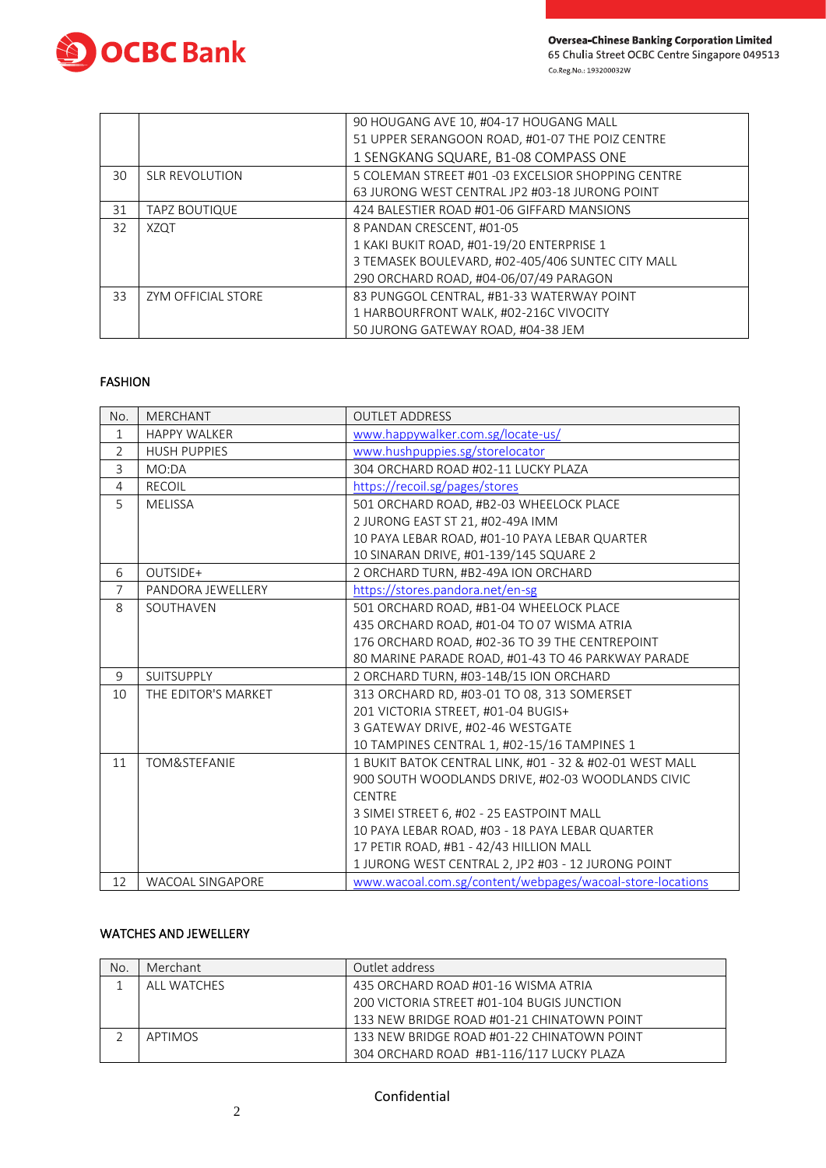

|    |                       | 90 HOUGANG AVE 10, #04-17 HOUGANG MALL             |
|----|-----------------------|----------------------------------------------------|
|    |                       | 51 UPPER SERANGOON ROAD, #01-07 THE POIZ CENTRE    |
|    |                       | 1 SENGKANG SQUARE, B1-08 COMPASS ONE               |
| 30 | <b>SLR REVOLUTION</b> | 5 COLEMAN STREET #01 -03 EXCELSIOR SHOPPING CENTRE |
|    |                       | 63 JURONG WEST CENTRAL JP2 #03-18 JURONG POINT     |
| 31 | <b>TAPZ BOUTIQUE</b>  | 424 BALESTIER ROAD #01-06 GIFFARD MANSIONS         |
| 32 | <b>XZQT</b>           | 8 PANDAN CRESCENT, #01-05                          |
|    |                       | 1 KAKI BUKIT ROAD, #01-19/20 ENTERPRISE 1          |
|    |                       | 3 TEMASEK BOULEVARD, #02-405/406 SUNTEC CITY MALL  |
|    |                       | 290 ORCHARD ROAD, #04-06/07/49 PARAGON             |
| 33 | ZYM OFFICIAL STORE    | 83 PUNGGOL CENTRAL, #B1-33 WATERWAY POINT          |
|    |                       | 1 HARBOURFRONT WALK, #02-216C VIVOCITY             |
|    |                       | 50 JURONG GATEWAY ROAD, #04-38 JEM                 |

### FASHION

| No.            | <b>MERCHANT</b>         | <b>OUTLET ADDRESS</b>                                     |
|----------------|-------------------------|-----------------------------------------------------------|
| $\mathbf{1}$   | <b>HAPPY WALKER</b>     | www.happywalker.com.sg/locate-us/                         |
| $\overline{2}$ | <b>HUSH PUPPIES</b>     | www.hushpuppies.sg/storelocator                           |
| $\overline{3}$ | MO:DA                   | 304 ORCHARD ROAD #02-11 LUCKY PLAZA                       |
| $\overline{4}$ | <b>RECOIL</b>           | https://recoil.sg/pages/stores                            |
| 5              | <b>MELISSA</b>          | 501 ORCHARD ROAD, #B2-03 WHEELOCK PLACE                   |
|                |                         | 2 JURONG EAST ST 21, #02-49A IMM                          |
|                |                         | 10 PAYA LEBAR ROAD, #01-10 PAYA LEBAR QUARTER             |
|                |                         | 10 SINARAN DRIVE, #01-139/145 SQUARE 2                    |
| 6              | OUTSIDE+                | 2 ORCHARD TURN, #B2-49A ION ORCHARD                       |
| $\overline{7}$ | PANDORA JEWELLERY       | https://stores.pandora.net/en-sg                          |
| 8              | SOUTHAVEN               | 501 ORCHARD ROAD, #B1-04 WHEELOCK PLACE                   |
|                |                         | 435 ORCHARD ROAD, #01-04 TO 07 WISMA ATRIA                |
|                |                         | 176 ORCHARD ROAD, #02-36 TO 39 THE CENTREPOINT            |
|                |                         | 80 MARINE PARADE ROAD, #01-43 TO 46 PARKWAY PARADE        |
| 9              | <b>SUITSUPPLY</b>       | 2 ORCHARD TURN, #03-14B/15 ION ORCHARD                    |
| 10             | THE EDITOR'S MARKET     | 313 ORCHARD RD, #03-01 TO 08, 313 SOMERSET                |
|                |                         | 201 VICTORIA STREET, #01-04 BUGIS+                        |
|                |                         | 3 GATEWAY DRIVE, #02-46 WESTGATE                          |
|                |                         | 10 TAMPINES CENTRAL 1, #02-15/16 TAMPINES 1               |
| 11             | TOM&STEFANIE            | 1 BUKIT BATOK CENTRAL LINK, #01 - 32 & #02-01 WEST MALL   |
|                |                         | 900 SOUTH WOODLANDS DRIVE, #02-03 WOODLANDS CIVIC         |
|                |                         | <b>CENTRE</b>                                             |
|                |                         | 3 SIMEI STREET 6, #02 - 25 EASTPOINT MALL                 |
|                |                         | 10 PAYA LEBAR ROAD, #03 - 18 PAYA LEBAR QUARTER           |
|                |                         | 17 PETIR ROAD, #B1 - 42/43 HILLION MALL                   |
|                |                         | 1 JURONG WEST CENTRAL 2, JP2 #03 - 12 JURONG POINT        |
| 12             | <b>WACOAL SINGAPORE</b> | www.wacoal.com.sg/content/webpages/wacoal-store-locations |

### WATCHES AND JEWELLERY

| No. | Merchant       | Outlet address                             |
|-----|----------------|--------------------------------------------|
|     | ALL WATCHES    | 435 ORCHARD ROAD #01-16 WISMA ATRIA        |
|     |                | 200 VICTORIA STREET #01-104 BUGIS JUNCTION |
|     |                | 133 NEW BRIDGE ROAD #01-21 CHINATOWN POINT |
|     | <b>APTIMOS</b> | 133 NEW BRIDGE ROAD #01-22 CHINATOWN POINT |
|     |                | 304 ORCHARD ROAD #B1-116/117 LUCKY PLAZA   |